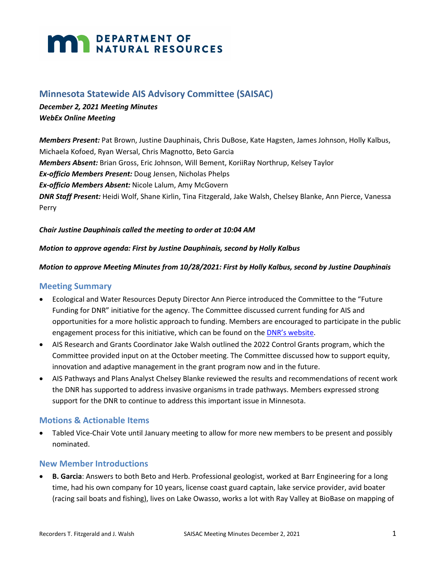# **MARIA DEPARTMENT OF NATURAL RESOURCES**

# **Minnesota Statewide AIS Advisory Committee (SAISAC)**

## *December 2, 2021 Meeting Minutes WebEx Online Meeting*

*Members Present:* Pat Brown, Justine Dauphinais, Chris DuBose, Kate Hagsten, James Johnson, Holly Kalbus, Michaela Kofoed, Ryan Wersal, Chris Magnotto, Beto Garcia *Members Absent:* Brian Gross, Eric Johnson, Will Bement, KoriiRay Northrup, Kelsey Taylor *Ex-officio Members Present:* Doug Jensen, Nicholas Phelps *Ex-officio Members Absent:* Nicole Lalum, Amy McGovern *DNR Staff Present:* Heidi Wolf, Shane Kirlin, Tina Fitzgerald, Jake Walsh, Chelsey Blanke, Ann Pierce, Vanessa Perry

#### *Chair Justine Dauphinais called the meeting to order at 10:04 AM*

#### *Motion to approve agenda: First by Justine Dauphinais, second by Holly Kalbus*

#### *Motion to approve Meeting Minutes from 10/28/2021: First by Holly Kalbus, second by Justine Dauphinais*

#### **Meeting Summary**

- Ecological and Water Resources Deputy Director Ann Pierce introduced the Committee to the "Future Funding for DNR" initiative for the agency. The Committee discussed current funding for AIS and opportunities for a more holistic approach to funding. Members are encouraged to participate in the public engagement process for this initiative, which can be found on the [DNR's website.](https://www.dnr.state.mn.us/aboutdnr/funding-future-natural-resources-and-outdoor-recreation.html)
- AIS Research and Grants Coordinator Jake Walsh outlined the 2022 Control Grants program, which the Committee provided input on at the October meeting. The Committee discussed how to support equity, innovation and adaptive management in the grant program now and in the future.
- AIS Pathways and Plans Analyst Chelsey Blanke reviewed the results and recommendations of recent work the DNR has supported to address invasive organisms in trade pathways. Members expressed strong support for the DNR to continue to address this important issue in Minnesota.

#### **Motions & Actionable Items**

• Tabled Vice-Chair Vote until January meeting to allow for more new members to be present and possibly nominated.

#### **New Member Introductions**

• **B. Garcia**: Answers to both Beto and Herb. Professional geologist, worked at Barr Engineering for a long time, had his own company for 10 years, license coast guard captain, lake service provider, avid boater (racing sail boats and fishing), lives on Lake Owasso, works a lot with Ray Valley at BioBase on mapping of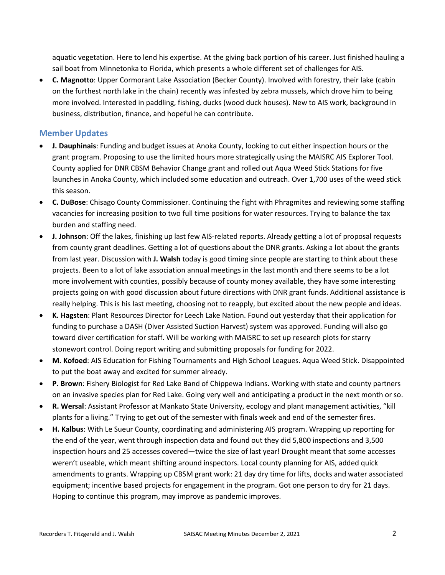aquatic vegetation. Here to lend his expertise. At the giving back portion of his career. Just finished hauling a sail boat from Minnetonka to Florida, which presents a whole different set of challenges for AIS.

• **C. Magnotto**: Upper Cormorant Lake Association (Becker County). Involved with forestry, their lake (cabin on the furthest north lake in the chain) recently was infested by zebra mussels, which drove him to being more involved. Interested in paddling, fishing, ducks (wood duck houses). New to AIS work, background in business, distribution, finance, and hopeful he can contribute.

#### **Member Updates**

- **J. Dauphinais**: Funding and budget issues at Anoka County, looking to cut either inspection hours or the grant program. Proposing to use the limited hours more strategically using the MAISRC AIS Explorer Tool. County applied for DNR CBSM Behavior Change grant and rolled out Aqua Weed Stick Stations for five launches in Anoka County, which included some education and outreach. Over 1,700 uses of the weed stick this season.
- **C. DuBose**: Chisago County Commissioner. Continuing the fight with Phragmites and reviewing some staffing vacancies for increasing position to two full time positions for water resources. Trying to balance the tax burden and staffing need.
- **J. Johnson**: Off the lakes, finishing up last few AIS-related reports. Already getting a lot of proposal requests from county grant deadlines. Getting a lot of questions about the DNR grants. Asking a lot about the grants from last year. Discussion with **J. Walsh** today is good timing since people are starting to think about these projects. Been to a lot of lake association annual meetings in the last month and there seems to be a lot more involvement with counties, possibly because of county money available, they have some interesting projects going on with good discussion about future directions with DNR grant funds. Additional assistance is really helping. This is his last meeting, choosing not to reapply, but excited about the new people and ideas.
- **K. Hagsten**: Plant Resources Director for Leech Lake Nation. Found out yesterday that their application for funding to purchase a DASH (Diver Assisted Suction Harvest) system was approved. Funding will also go toward diver certification for staff. Will be working with MAISRC to set up research plots for starry stonewort control. Doing report writing and submitting proposals for funding for 2022.
- **M. Kofoed**: AIS Education for Fishing Tournaments and High School Leagues. Aqua Weed Stick. Disappointed to put the boat away and excited for summer already.
- **P. Brown**: Fishery Biologist for Red Lake Band of Chippewa Indians. Working with state and county partners on an invasive species plan for Red Lake. Going very well and anticipating a product in the next month or so.
- **R. Wersal**: Assistant Professor at Mankato State University, ecology and plant management activities, "kill plants for a living." Trying to get out of the semester with finals week and end of the semester fires.
- **H. Kalbus**: With Le Sueur County, coordinating and administering AIS program. Wrapping up reporting for the end of the year, went through inspection data and found out they did 5,800 inspections and 3,500 inspection hours and 25 accesses covered—twice the size of last year! Drought meant that some accesses weren't useable, which meant shifting around inspectors. Local county planning for AIS, added quick amendments to grants. Wrapping up CBSM grant work: 21 day dry time for lifts, docks and water associated equipment; incentive based projects for engagement in the program. Got one person to dry for 21 days. Hoping to continue this program, may improve as pandemic improves.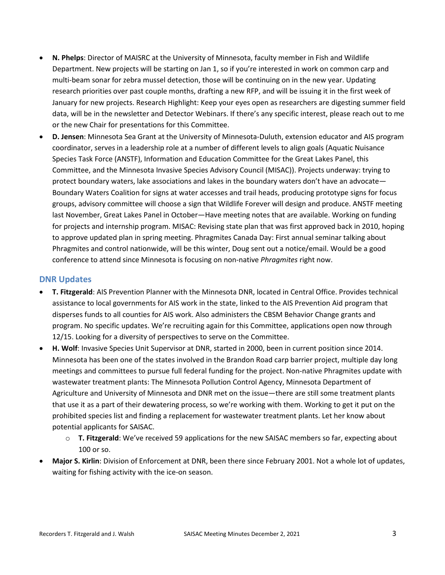- **N. Phelps**: Director of MAISRC at the University of Minnesota, faculty member in Fish and Wildlife Department. New projects will be starting on Jan 1, so if you're interested in work on common carp and multi-beam sonar for zebra mussel detection, those will be continuing on in the new year. Updating research priorities over past couple months, drafting a new RFP, and will be issuing it in the first week of January for new projects. Research Highlight: Keep your eyes open as researchers are digesting summer field data, will be in the newsletter and Detector Webinars. If there's any specific interest, please reach out to me or the new Chair for presentations for this Committee.
- **D. Jensen**: Minnesota Sea Grant at the University of Minnesota-Duluth, extension educator and AIS program coordinator, serves in a leadership role at a number of different levels to align goals (Aquatic Nuisance Species Task Force (ANSTF), Information and Education Committee for the Great Lakes Panel, this Committee, and the Minnesota Invasive Species Advisory Council (MISAC)). Projects underway: trying to protect boundary waters, lake associations and lakes in the boundary waters don't have an advocate— Boundary Waters Coalition for signs at water accesses and trail heads, producing prototype signs for focus groups, advisory committee will choose a sign that Wildlife Forever will design and produce. ANSTF meeting last November, Great Lakes Panel in October—Have meeting notes that are available. Working on funding for projects and internship program. MISAC: Revising state plan that was first approved back in 2010, hoping to approve updated plan in spring meeting. Phragmites Canada Day: First annual seminar talking about Phragmites and control nationwide, will be this winter, Doug sent out a notice/email. Would be a good conference to attend since Minnesota is focusing on non-native *Phragmites* right now.

#### **DNR Updates**

- **T. Fitzgerald**: AIS Prevention Planner with the Minnesota DNR, located in Central Office. Provides technical assistance to local governments for AIS work in the state, linked to the AIS Prevention Aid program that disperses funds to all counties for AIS work. Also administers the CBSM Behavior Change grants and program. No specific updates. We're recruiting again for this Committee, applications open now through 12/15. Looking for a diversity of perspectives to serve on the Committee.
- **H. Wolf**: Invasive Species Unit Supervisor at DNR, started in 2000, been in current position since 2014. Minnesota has been one of the states involved in the Brandon Road carp barrier project, multiple day long meetings and committees to pursue full federal funding for the project. Non-native Phragmites update with wastewater treatment plants: The Minnesota Pollution Control Agency, Minnesota Department of Agriculture and University of Minnesota and DNR met on the issue—there are still some treatment plants that use it as a part of their dewatering process, so we're working with them. Working to get it put on the prohibited species list and finding a replacement for wastewater treatment plants. Let her know about potential applicants for SAISAC.
	- o **T. Fitzgerald**: We've received 59 applications for the new SAISAC members so far, expecting about 100 or so.
- **Major S. Kirlin**: Division of Enforcement at DNR, been there since February 2001. Not a whole lot of updates, waiting for fishing activity with the ice-on season.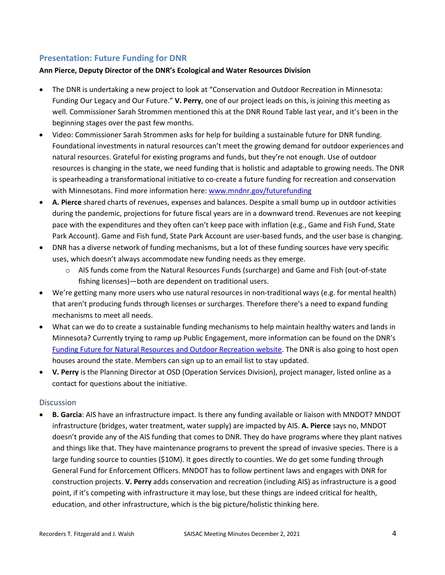# **Presentation: Future Funding for DNR**

#### **Ann Pierce, Deputy Director of the DNR's Ecological and Water Resources Division**

- The DNR is undertaking a new project to look at "Conservation and Outdoor Recreation in Minnesota: Funding Our Legacy and Our Future." **V. Perry**, one of our project leads on this, is joining this meeting as well. Commissioner Sarah Strommen mentioned this at the DNR Round Table last year, and it's been in the beginning stages over the past few months.
- Video: Commissioner Sarah Strommen asks for help for building a sustainable future for DNR funding. Foundational investments in natural resources can't meet the growing demand for outdoor experiences and natural resources. Grateful for existing programs and funds, but they're not enough. Use of outdoor resources is changing in the state, we need funding that is holistic and adaptable to growing needs. The DNR is spearheading a transformational initiative to co-create a future funding for recreation and conservation with Minnesotans. Find more information here: www.mndnr.gov/futurefunding
- **A. Pierce** shared charts of revenues, expenses and balances. Despite a small bump up in outdoor activities during the pandemic, projections for future fiscal years are in a downward trend. Revenues are not keeping pace with the expenditures and they often can't keep pace with inflation (e.g., Game and Fish Fund, State Park Account). Game and Fish fund, State Park Account are user-based funds, and the user base is changing.
- DNR has a diverse network of funding mechanisms, but a lot of these funding sources have very specific uses, which doesn't always accommodate new funding needs as they emerge.
	- $\circ$  AIS funds come from the Natural Resources Funds (surcharge) and Game and Fish (out-of-state fishing licenses)—both are dependent on traditional users.
- We're getting many more users who use natural resources in non-traditional ways (e.g. for mental health) that aren't producing funds through licenses or surcharges. Therefore there's a need to expand funding mechanisms to meet all needs.
- What can we do to create a sustainable funding mechanisms to help maintain healthy waters and lands in Minnesota? Currently trying to ramp up Public Engagement, more information can be found on the DNR's [Funding Future for Natural Resources and Outdoor Recreation website.](https://www.dnr.state.mn.us/aboutdnr/funding-future-natural-resources-and-outdoor-recreation.html) The DNR is also going to host open houses around the state. Members can sign up to an email list to stay updated.
- **V. Perry** is the Planning Director at OSD (Operation Services Division), project manager, listed online as a contact for questions about the initiative.

#### **Discussion**

• **B. Garcia**: AIS have an infrastructure impact. Is there any funding available or liaison with MNDOT? MNDOT infrastructure (bridges, water treatment, water supply) are impacted by AIS. **A. Pierce** says no, MNDOT doesn't provide any of the AIS funding that comes to DNR. They do have programs where they plant natives and things like that. They have maintenance programs to prevent the spread of invasive species. There is a large funding source to counties (\$10M). It goes directly to counties. We do get some funding through General Fund for Enforcement Officers. MNDOT has to follow pertinent laws and engages with DNR for construction projects. **V. Perry** adds conservation and recreation (including AIS) as infrastructure is a good point, if it's competing with infrastructure it may lose, but these things are indeed critical for health, education, and other infrastructure, which is the big picture/holistic thinking here.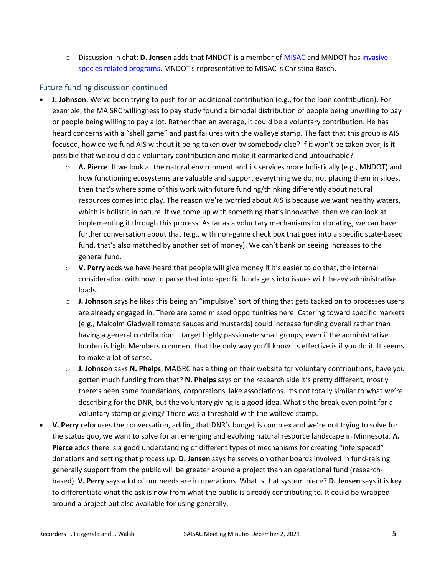o Discussion in chat: **D. Jensen** adds that MNDOT is a member of [MISAC](https://www.mninvasives.org/) and MNDOT has [invasive](http://www.dot.state.mn.us/roadsides/vegetation/index.html)  [species related programs.](http://www.dot.state.mn.us/roadsides/vegetation/index.html) MNDOT's representative to MISAC is Christina Basch.

### Future funding discussion continued

- **J. Johnson**: We've been trying to push for an additional contribution (e.g., for the loon contribution). For example, the MAISRC willingness to pay study found a bimodal distribution of people being unwilling to pay or people being willing to pay a lot. Rather than an average, it could be a voluntary contribution. He has heard concerns with a "shell game" and past failures with the walleye stamp. The fact that this group is AIS focused, how do we fund AIS without it being taken over by somebody else? If it won't be taken over, is it possible that we could do a voluntary contribution and make it earmarked and untouchable?
	- o **A. Pierce**: If we look at the natural environment and its services more holistically (e.g., MNDOT) and how functioning ecosystems are valuable and support everything we do, not placing them in siloes, then that's where some of this work with future funding/thinking differently about natural resources comes into play. The reason we're worried about AIS is because we want healthy waters, which is holistic in nature. If we come up with something that's innovative, then we can look at implementing it through this process. As far as a voluntary mechanisms for donating, we can have further conversation about that (e.g., with non-game check box that goes into a specific state-based fund, that's also matched by another set of money). We can't bank on seeing increases to the general fund.
	- o **V. Perry** adds we have heard that people will give money if it's easier to do that, the internal consideration with how to parse that into specific funds gets into issues with heavy administrative loads.
	- o **J. Johnson** says he likes this being an "impulsive" sort of thing that gets tacked on to processes users are already engaged in. There are some missed opportunities here. Catering toward specific markets (e.g., Malcolm Gladwell tomato sauces and mustards) could increase funding overall rather than having a general contribution—target highly passionate small groups, even if the administrative burden is high. Members comment that the only way you'll know its effective is if you do it. It seems to make a lot of sense.
	- o **J. Johnson** asks **N. Phelps**, MAISRC has a thing on their website for voluntary contributions, have you gotten much funding from that? **N. Phelps** says on the research side it's pretty different, mostly there's been some foundations, corporations, lake associations. It's not totally similar to what we're describing for the DNR, but the voluntary giving is a good idea. What's the break-even point for a voluntary stamp or giving? There was a threshold with the walleye stamp.
- **V. Perry** refocuses the conversation, adding that DNR's budget is complex and we're not trying to solve for the status quo, we want to solve for an emerging and evolving natural resource landscape in Minnesota. **A. Pierce** adds there is a good understanding of different types of mechanisms for creating "interspaced" donations and setting that process up. **D. Jensen** says he serves on other boards involved in fund-raising, generally support from the public will be greater around a project than an operational fund (researchbased). **V. Perry** says a lot of our needs are in operations. What is that system piece? **D. Jensen** says it is key to differentiate what the ask is now from what the public is already contributing to. It could be wrapped around a project but also available for using generally.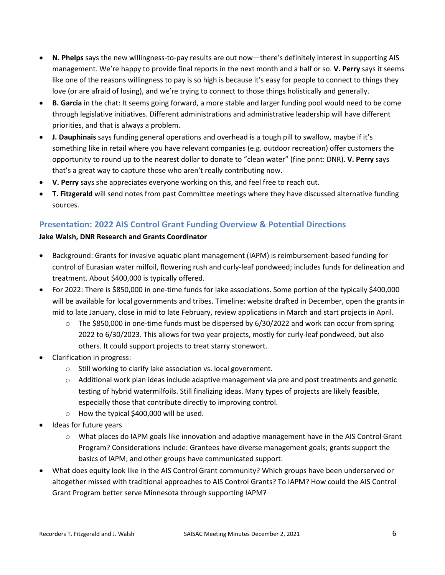- **N. Phelps** says the new willingness-to-pay results are out now—there's definitely interest in supporting AIS management. We're happy to provide final reports in the next month and a half or so. **V. Perry** says it seems like one of the reasons willingness to pay is so high is because it's easy for people to connect to things they love (or are afraid of losing), and we're trying to connect to those things holistically and generally.
- **B. Garcia** in the chat: It seems going forward, a more stable and larger funding pool would need to be come through legislative initiatives. Different administrations and administrative leadership will have different priorities, and that is always a problem.
- **J. Dauphinais** says funding general operations and overhead is a tough pill to swallow, maybe if it's something like in retail where you have relevant companies (e.g. outdoor recreation) offer customers the opportunity to round up to the nearest dollar to donate to "clean water" (fine print: DNR). **V. Perry** says that's a great way to capture those who aren't really contributing now.
- **V. Perry** says she appreciates everyone working on this, and feel free to reach out.
- **T. Fitzgerald** will send notes from past Committee meetings where they have discussed alternative funding sources.

# **Presentation: 2022 AIS Control Grant Funding Overview & Potential Directions**

#### **Jake Walsh, DNR Research and Grants Coordinator**

- Background: Grants for invasive aquatic plant management (IAPM) is reimbursement-based funding for control of Eurasian water milfoil, flowering rush and curly-leaf pondweed; includes funds for delineation and treatment. About \$400,000 is typically offered.
- For 2022: There is \$850,000 in one-time funds for lake associations. Some portion of the typically \$400,000 will be available for local governments and tribes. Timeline: website drafted in December, open the grants in mid to late January, close in mid to late February, review applications in March and start projects in April.
	- $\circ$  The \$850,000 in one-time funds must be dispersed by 6/30/2022 and work can occur from spring 2022 to 6/30/2023. This allows for two year projects, mostly for curly-leaf pondweed, but also others. It could support projects to treat starry stonewort.
- Clarification in progress:
	- o Still working to clarify lake association vs. local government.
	- $\circ$  Additional work plan ideas include adaptive management via pre and post treatments and genetic testing of hybrid watermilfoils. Still finalizing ideas. Many types of projects are likely feasible, especially those that contribute directly to improving control.
	- o How the typical \$400,000 will be used.
- Ideas for future years
	- $\circ$  What places do IAPM goals like innovation and adaptive management have in the AIS Control Grant Program? Considerations include: Grantees have diverse management goals; grants support the basics of IAPM; and other groups have communicated support.
- What does equity look like in the AIS Control Grant community? Which groups have been underserved or altogether missed with traditional approaches to AIS Control Grants? To IAPM? How could the AIS Control Grant Program better serve Minnesota through supporting IAPM?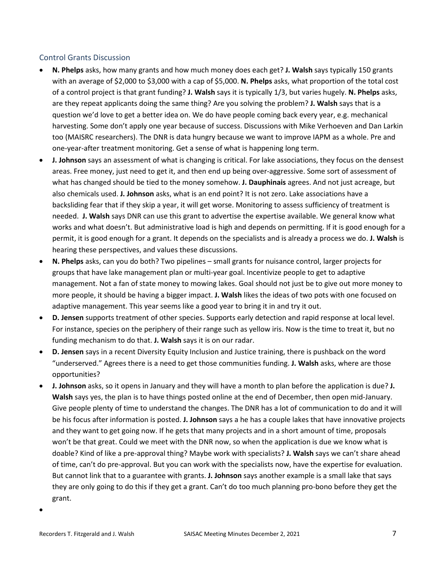#### Control Grants Discussion

- **N. Phelps** asks, how many grants and how much money does each get? **J. Walsh** says typically 150 grants with an average of \$2,000 to \$3,000 with a cap of \$5,000. **N. Phelps** asks, what proportion of the total cost of a control project is that grant funding? **J. Walsh** says it is typically 1/3, but varies hugely. **N. Phelps** asks, are they repeat applicants doing the same thing? Are you solving the problem? **J. Walsh** says that is a question we'd love to get a better idea on. We do have people coming back every year, e.g. mechanical harvesting. Some don't apply one year because of success. Discussions with Mike Verhoeven and Dan Larkin too (MAISRC researchers). The DNR is data hungry because we want to improve IAPM as a whole. Pre and one-year-after treatment monitoring. Get a sense of what is happening long term.
- **J. Johnson** says an assessment of what is changing is critical. For lake associations, they focus on the densest areas. Free money, just need to get it, and then end up being over-aggressive. Some sort of assessment of what has changed should be tied to the money somehow. **J. Dauphinais** agrees. And not just acreage, but also chemicals used. **J. Johnson** asks, what is an end point? It is not zero. Lake associations have a backsliding fear that if they skip a year, it will get worse. Monitoring to assess sufficiency of treatment is needed. **J. Walsh** says DNR can use this grant to advertise the expertise available. We general know what works and what doesn't. But administrative load is high and depends on permitting. If it is good enough for a permit, it is good enough for a grant. It depends on the specialists and is already a process we do. **J. Walsh** is hearing these perspectives, and values these discussions.
- **N. Phelps** asks, can you do both? Two pipelines small grants for nuisance control, larger projects for groups that have lake management plan or multi-year goal. Incentivize people to get to adaptive management. Not a fan of state money to mowing lakes. Goal should not just be to give out more money to more people, it should be having a bigger impact. **J. Walsh** likes the ideas of two pots with one focused on adaptive management. This year seems like a good year to bring it in and try it out.
- **D. Jensen** supports treatment of other species. Supports early detection and rapid response at local level. For instance, species on the periphery of their range such as yellow iris. Now is the time to treat it, but no funding mechanism to do that. **J. Walsh** says it is on our radar.
- **D. Jensen** says in a recent Diversity Equity Inclusion and Justice training, there is pushback on the word "underserved." Agrees there is a need to get those communities funding. **J. Walsh** asks, where are those opportunities?
- **J. Johnson** asks, so it opens in January and they will have a month to plan before the application is due? **J. Walsh** says yes, the plan is to have things posted online at the end of December, then open mid-January. Give people plenty of time to understand the changes. The DNR has a lot of communication to do and it will be his focus after information is posted. **J. Johnson** says a he has a couple lakes that have innovative projects and they want to get going now. If he gets that many projects and in a short amount of time, proposals won't be that great. Could we meet with the DNR now, so when the application is due we know what is doable? Kind of like a pre-approval thing? Maybe work with specialists? **J. Walsh** says we can't share ahead of time, can't do pre-approval. But you can work with the specialists now, have the expertise for evaluation. But cannot link that to a guarantee with grants. **J. Johnson** says another example is a small lake that says they are only going to do this if they get a grant. Can't do too much planning pro-bono before they get the grant.
- •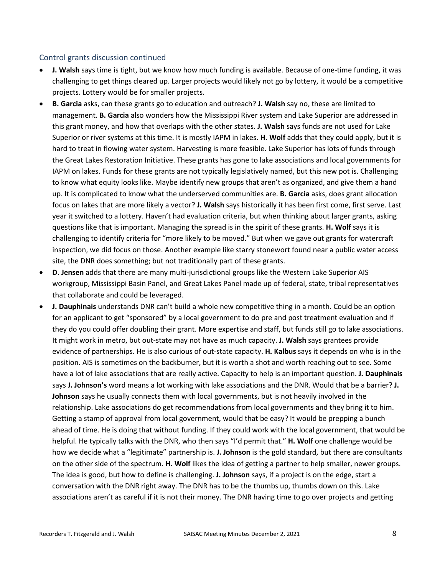#### Control grants discussion continued

- **J. Walsh** says time is tight, but we know how much funding is available. Because of one-time funding, it was challenging to get things cleared up. Larger projects would likely not go by lottery, it would be a competitive projects. Lottery would be for smaller projects.
- **B. Garcia** asks, can these grants go to education and outreach? **J. Walsh** say no, these are limited to management. **B. Garcia** also wonders how the Mississippi River system and Lake Superior are addressed in this grant money, and how that overlaps with the other states. **J. Walsh** says funds are not used for Lake Superior or river systems at this time. It is mostly IAPM in lakes. **H. Wolf** adds that they could apply, but it is hard to treat in flowing water system. Harvesting is more feasible. Lake Superior has lots of funds through the Great Lakes Restoration Initiative. These grants has gone to lake associations and local governments for IAPM on lakes. Funds for these grants are not typically legislatively named, but this new pot is. Challenging to know what equity looks like. Maybe identify new groups that aren't as organized, and give them a hand up. It is complicated to know what the underserved communities are. **B. Garcia** asks, does grant allocation focus on lakes that are more likely a vector? **J. Walsh** says historically it has been first come, first serve. Last year it switched to a lottery. Haven't had evaluation criteria, but when thinking about larger grants, asking questions like that is important. Managing the spread is in the spirit of these grants. **H. Wolf** says it is challenging to identify criteria for "more likely to be moved." But when we gave out grants for watercraft inspection, we did focus on those. Another example like starry stonewort found near a public water access site, the DNR does something; but not traditionally part of these grants.
- **D. Jensen** adds that there are many multi-jurisdictional groups like the Western Lake Superior AIS workgroup, Mississippi Basin Panel, and Great Lakes Panel made up of federal, state, tribal representatives that collaborate and could be leveraged.
- **J. Dauphinais** understands DNR can't build a whole new competitive thing in a month. Could be an option for an applicant to get "sponsored" by a local government to do pre and post treatment evaluation and if they do you could offer doubling their grant. More expertise and staff, but funds still go to lake associations. It might work in metro, but out-state may not have as much capacity. **J. Walsh** says grantees provide evidence of partnerships. He is also curious of out-state capacity. **H. Kalbus** says it depends on who is in the position. AIS is sometimes on the backburner, but it is worth a shot and worth reaching out to see. Some have a lot of lake associations that are really active. Capacity to help is an important question. **J. Dauphinais**  says **J. Johnson's** word means a lot working with lake associations and the DNR. Would that be a barrier? **J. Johnson** says he usually connects them with local governments, but is not heavily involved in the relationship. Lake associations do get recommendations from local governments and they bring it to him. Getting a stamp of approval from local government, would that be easy? It would be prepping a bunch ahead of time. He is doing that without funding. If they could work with the local government, that would be helpful. He typically talks with the DNR, who then says "I'd permit that." **H. Wolf** one challenge would be how we decide what a "legitimate" partnership is. **J. Johnson** is the gold standard, but there are consultants on the other side of the spectrum. **H. Wolf** likes the idea of getting a partner to help smaller, newer groups. The idea is good, but how to define is challenging. **J. Johnson** says, if a project is on the edge, start a conversation with the DNR right away. The DNR has to be the thumbs up, thumbs down on this. Lake associations aren't as careful if it is not their money. The DNR having time to go over projects and getting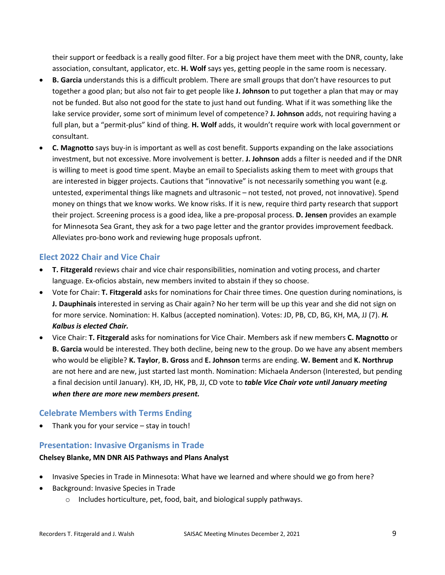their support or feedback is a really good filter. For a big project have them meet with the DNR, county, lake association, consultant, applicator, etc. **H. Wolf** says yes, getting people in the same room is necessary.

- **B. Garcia** understands this is a difficult problem. There are small groups that don't have resources to put together a good plan; but also not fair to get people like **J. Johnson** to put together a plan that may or may not be funded. But also not good for the state to just hand out funding. What if it was something like the lake service provider, some sort of minimum level of competence? **J. Johnson** adds, not requiring having a full plan, but a "permit-plus" kind of thing. **H. Wolf** adds, it wouldn't require work with local government or consultant.
- **C. Magnotto** says buy-in is important as well as cost benefit. Supports expanding on the lake associations investment, but not excessive. More involvement is better. **J. Johnson** adds a filter is needed and if the DNR is willing to meet is good time spent. Maybe an email to Specialists asking them to meet with groups that are interested in bigger projects. Cautions that "innovative" is not necessarily something you want (e.g. untested, experimental things like magnets and ultrasonic – not tested, not proved, not innovative). Spend money on things that we know works. We know risks. If it is new, require third party research that support their project. Screening process is a good idea, like a pre-proposal process. **D. Jensen** provides an example for Minnesota Sea Grant, they ask for a two page letter and the grantor provides improvement feedback. Alleviates pro-bono work and reviewing huge proposals upfront.

# **Elect 2022 Chair and Vice Chair**

- **T. Fitzgerald** reviews chair and vice chair responsibilities, nomination and voting process, and charter language. Ex-oficios abstain, new members invited to abstain if they so choose.
- Vote for Chair: **T. Fitzgerald** asks for nominations for Chair three times. One question during nominations, is **J. Dauphinais** interested in serving as Chair again? No her term will be up this year and she did not sign on for more service. Nomination: H. Kalbus (accepted nomination). Votes: JD, PB, CD, BG, KH, MA, JJ (7). *H. Kalbus is elected Chair.*
- Vice Chair: **T. Fitzgerald** asks for nominations for Vice Chair. Members ask if new members **C. Magnotto** or **B. Garcia** would be interested. They both decline, being new to the group. Do we have any absent members who would be eligible? **K. Taylor**, **B. Gross** and **E. Johnson** terms are ending. **W. Bement** and **K. Northrup** are not here and are new, just started last month. Nomination: Michaela Anderson (Interested, but pending a final decision until January). KH, JD, HK, PB, JJ, CD vote to *table Vice Chair vote until January meeting when there are more new members present.*

# **Celebrate Members with Terms Ending**

Thank you for your service – stay in touch!

# **Presentation: Invasive Organisms in Trade**

#### **Chelsey Blanke, MN DNR AIS Pathways and Plans Analyst**

- Invasive Species in Trade in Minnesota: What have we learned and where should we go from here?
- Background: Invasive Species in Trade
	- o Includes horticulture, pet, food, bait, and biological supply pathways.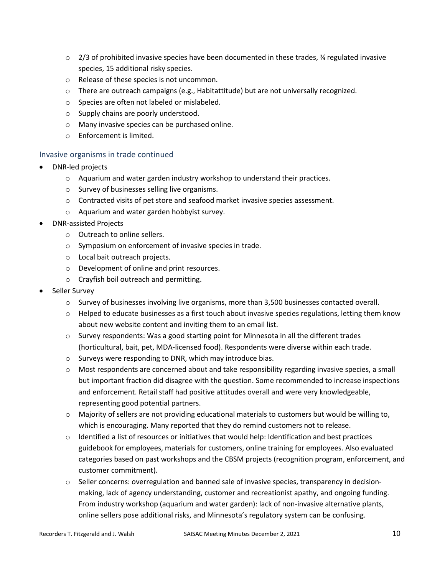- $\circ$  2/3 of prohibited invasive species have been documented in these trades,  $\frac{3}{4}$  regulated invasive species, 15 additional risky species.
- o Release of these species is not uncommon.
- $\circ$  There are outreach campaigns (e.g., Habitattitude) but are not universally recognized.
- o Species are often not labeled or mislabeled.
- o Supply chains are poorly understood.
- o Many invasive species can be purchased online.
- o Enforcement is limited.

#### Invasive organisms in trade continued

- DNR-led projects
	- $\circ$  Aquarium and water garden industry workshop to understand their practices.
	- o Survey of businesses selling live organisms.
	- $\circ$  Contracted visits of pet store and seafood market invasive species assessment.
	- o Aquarium and water garden hobbyist survey.
- DNR-assisted Projects
	- o Outreach to online sellers.
	- o Symposium on enforcement of invasive species in trade.
	- o Local bait outreach projects.
	- o Development of online and print resources.
	- o Crayfish boil outreach and permitting.
- Seller Survey
	- $\circ$  Survey of businesses involving live organisms, more than 3,500 businesses contacted overall.
	- $\circ$  Helped to educate businesses as a first touch about invasive species regulations, letting them know about new website content and inviting them to an email list.
	- $\circ$  Survey respondents: Was a good starting point for Minnesota in all the different trades (horticultural, bait, pet, MDA-licensed food). Respondents were diverse within each trade.
	- o Surveys were responding to DNR, which may introduce bias.
	- $\circ$  Most respondents are concerned about and take responsibility regarding invasive species, a small but important fraction did disagree with the question. Some recommended to increase inspections and enforcement. Retail staff had positive attitudes overall and were very knowledgeable, representing good potential partners.
	- o Majority of sellers are not providing educational materials to customers but would be willing to, which is encouraging. Many reported that they do remind customers not to release.
	- $\circ$  Identified a list of resources or initiatives that would help: Identification and best practices guidebook for employees, materials for customers, online training for employees. Also evaluated categories based on past workshops and the CBSM projects (recognition program, enforcement, and customer commitment).
	- o Seller concerns: overregulation and banned sale of invasive species, transparency in decisionmaking, lack of agency understanding, customer and recreationist apathy, and ongoing funding. From industry workshop (aquarium and water garden): lack of non-invasive alternative plants, online sellers pose additional risks, and Minnesota's regulatory system can be confusing.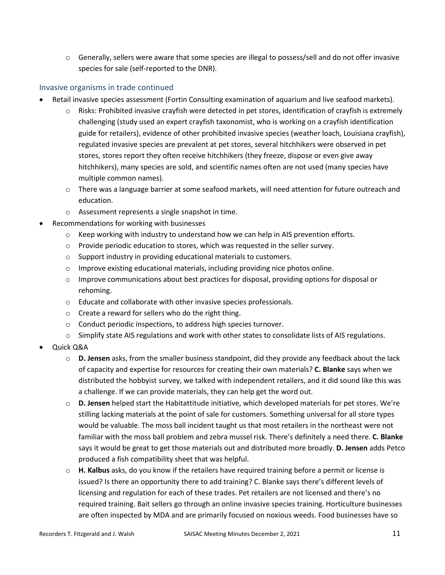$\circ$  Generally, sellers were aware that some species are illegal to possess/sell and do not offer invasive species for sale (self-reported to the DNR).

## Invasive organisms in trade continued

- Retail invasive species assessment (Fortin Consulting examination of aquarium and live seafood markets).
	- $\circ$  Risks: Prohibited invasive crayfish were detected in pet stores, identification of crayfish is extremely challenging (study used an expert crayfish taxonomist, who is working on a crayfish identification guide for retailers), evidence of other prohibited invasive species (weather loach, Louisiana crayfish), regulated invasive species are prevalent at pet stores, several hitchhikers were observed in pet stores, stores report they often receive hitchhikers (they freeze, dispose or even give away hitchhikers), many species are sold, and scientific names often are not used (many species have multiple common names).
	- $\circ$  There was a language barrier at some seafood markets, will need attention for future outreach and education.
	- o Assessment represents a single snapshot in time.
- Recommendations for working with businesses
	- $\circ$  Keep working with industry to understand how we can help in AIS prevention efforts.
	- o Provide periodic education to stores, which was requested in the seller survey.
	- o Support industry in providing educational materials to customers.
	- $\circ$  Improve existing educational materials, including providing nice photos online.
	- $\circ$  Improve communications about best practices for disposal, providing options for disposal or rehoming.
	- o Educate and collaborate with other invasive species professionals.
	- o Create a reward for sellers who do the right thing.
	- o Conduct periodic inspections, to address high species turnover.
	- o Simplify state AIS regulations and work with other states to consolidate lists of AIS regulations.
- Quick Q&A
	- o **D. Jensen** asks, from the smaller business standpoint, did they provide any feedback about the lack of capacity and expertise for resources for creating their own materials? **C. Blanke** says when we distributed the hobbyist survey, we talked with independent retailers, and it did sound like this was a challenge. If we can provide materials, they can help get the word out.
	- o **D. Jensen** helped start the Habitattitude initiative, which developed materials for pet stores. We're stilling lacking materials at the point of sale for customers. Something universal for all store types would be valuable. The moss ball incident taught us that most retailers in the northeast were not familiar with the moss ball problem and zebra mussel risk. There's definitely a need there. **C. Blanke** says it would be great to get those materials out and distributed more broadly. **D. Jensen** adds Petco produced a fish compatibility sheet that was helpful.
	- o **H. Kalbus** asks, do you know if the retailers have required training before a permit or license is issued? Is there an opportunity there to add training? C. Blanke says there's different levels of licensing and regulation for each of these trades. Pet retailers are not licensed and there's no required training. Bait sellers go through an online invasive species training. Horticulture businesses are often inspected by MDA and are primarily focused on noxious weeds. Food businesses have so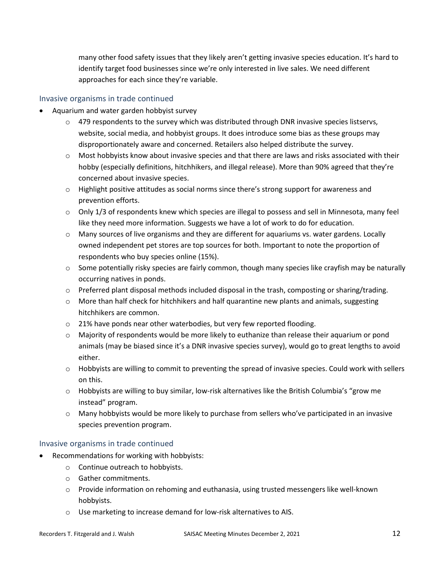many other food safety issues that they likely aren't getting invasive species education. It's hard to identify target food businesses since we're only interested in live sales. We need different approaches for each since they're variable.

#### Invasive organisms in trade continued

- Aquarium and water garden hobbyist survey
	- $\circ$  479 respondents to the survey which was distributed through DNR invasive species listservs, website, social media, and hobbyist groups. It does introduce some bias as these groups may disproportionately aware and concerned. Retailers also helped distribute the survey.
	- o Most hobbyists know about invasive species and that there are laws and risks associated with their hobby (especially definitions, hitchhikers, and illegal release). More than 90% agreed that they're concerned about invasive species.
	- $\circ$  Highlight positive attitudes as social norms since there's strong support for awareness and prevention efforts.
	- $\circ$  Only 1/3 of respondents knew which species are illegal to possess and sell in Minnesota, many feel like they need more information. Suggests we have a lot of work to do for education.
	- o Many sources of live organisms and they are different for aquariums vs. water gardens. Locally owned independent pet stores are top sources for both. Important to note the proportion of respondents who buy species online (15%).
	- $\circ$  Some potentially risky species are fairly common, though many species like crayfish may be naturally occurring natives in ponds.
	- o Preferred plant disposal methods included disposal in the trash, composting or sharing/trading.
	- $\circ$  More than half check for hitchhikers and half quarantine new plants and animals, suggesting hitchhikers are common.
	- o 21% have ponds near other waterbodies, but very few reported flooding.
	- $\circ$  Majority of respondents would be more likely to euthanize than release their aquarium or pond animals (may be biased since it's a DNR invasive species survey), would go to great lengths to avoid either.
	- $\circ$  Hobbyists are willing to commit to preventing the spread of invasive species. Could work with sellers on this.
	- o Hobbyists are willing to buy similar, low-risk alternatives like the British Columbia's "grow me instead" program.
	- $\circ$  Many hobbyists would be more likely to purchase from sellers who've participated in an invasive species prevention program.

#### Invasive organisms in trade continued

- Recommendations for working with hobbyists:
	- o Continue outreach to hobbyists.
	- o Gather commitments.
	- o Provide information on rehoming and euthanasia, using trusted messengers like well-known hobbyists.
	- o Use marketing to increase demand for low-risk alternatives to AIS.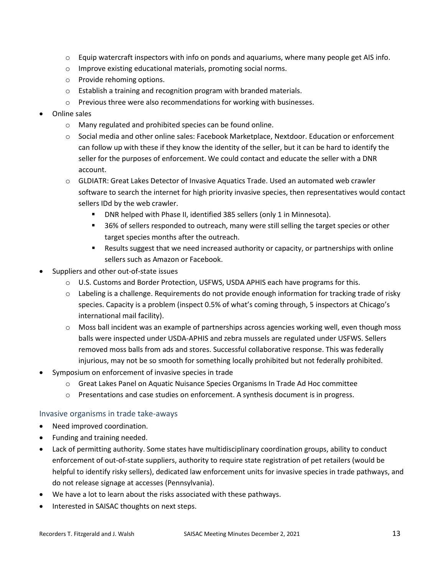- $\circ$  Equip watercraft inspectors with info on ponds and aquariums, where many people get AIS info.
- o Improve existing educational materials, promoting social norms.
- o Provide rehoming options.
- o Establish a training and recognition program with branded materials.
- o Previous three were also recommendations for working with businesses.
- Online sales
	- o Many regulated and prohibited species can be found online.
	- o Social media and other online sales: Facebook Marketplace, Nextdoor. Education or enforcement can follow up with these if they know the identity of the seller, but it can be hard to identify the seller for the purposes of enforcement. We could contact and educate the seller with a DNR account.
	- o GLDIATR: Great Lakes Detector of Invasive Aquatics Trade. Used an automated web crawler software to search the internet for high priority invasive species, then representatives would contact sellers IDd by the web crawler.
		- DNR helped with Phase II, identified 385 sellers (only 1 in Minnesota).
		- **56% of sellers responded to outreach, many were still selling the target species or other** target species months after the outreach.
		- **Results suggest that we need increased authority or capacity, or partnerships with online** sellers such as Amazon or Facebook.
- Suppliers and other out-of-state issues
	- o U.S. Customs and Border Protection, USFWS, USDA APHIS each have programs for this.
	- $\circ$  Labeling is a challenge. Requirements do not provide enough information for tracking trade of risky species. Capacity is a problem (inspect 0.5% of what's coming through, 5 inspectors at Chicago's international mail facility).
	- o Moss ball incident was an example of partnerships across agencies working well, even though moss balls were inspected under USDA-APHIS and zebra mussels are regulated under USFWS. Sellers removed moss balls from ads and stores. Successful collaborative response. This was federally injurious, may not be so smooth for something locally prohibited but not federally prohibited.
- Symposium on enforcement of invasive species in trade
	- o Great Lakes Panel on Aquatic Nuisance Species Organisms In Trade Ad Hoc committee
	- o Presentations and case studies on enforcement. A synthesis document is in progress.

#### Invasive organisms in trade take-aways

- Need improved coordination.
- Funding and training needed.
- Lack of permitting authority. Some states have multidisciplinary coordination groups, ability to conduct enforcement of out-of-state suppliers, authority to require state registration of pet retailers (would be helpful to identify risky sellers), dedicated law enforcement units for invasive species in trade pathways, and do not release signage at accesses (Pennsylvania).
- We have a lot to learn about the risks associated with these pathways.
- Interested in SAISAC thoughts on next steps.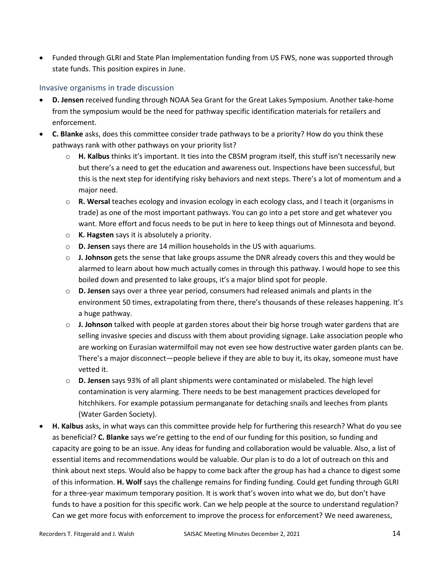• Funded through GLRI and State Plan Implementation funding from US FWS, none was supported through state funds. This position expires in June.

#### Invasive organisms in trade discussion

- **D. Jensen** received funding through NOAA Sea Grant for the Great Lakes Symposium. Another take-home from the symposium would be the need for pathway specific identification materials for retailers and enforcement.
- **C. Blanke** asks, does this committee consider trade pathways to be a priority? How do you think these pathways rank with other pathways on your priority list?
	- o **H. Kalbus** thinks it's important. It ties into the CBSM program itself, this stuff isn't necessarily new but there's a need to get the education and awareness out. Inspections have been successful, but this is the next step for identifying risky behaviors and next steps. There's a lot of momentum and a major need.
	- o **R. Wersal** teaches ecology and invasion ecology in each ecology class, and I teach it (organisms in trade) as one of the most important pathways. You can go into a pet store and get whatever you want. More effort and focus needs to be put in here to keep things out of Minnesota and beyond.
	- o **K. Hagsten** says it is absolutely a priority.
	- o **D. Jensen** says there are 14 million households in the US with aquariums.
	- o **J. Johnson** gets the sense that lake groups assume the DNR already covers this and they would be alarmed to learn about how much actually comes in through this pathway. I would hope to see this boiled down and presented to lake groups, it's a major blind spot for people.
	- o **D. Jensen** says over a three year period, consumers had released animals and plants in the environment 50 times, extrapolating from there, there's thousands of these releases happening. It's a huge pathway.
	- o **J. Johnson** talked with people at garden stores about their big horse trough water gardens that are selling invasive species and discuss with them about providing signage. Lake association people who are working on Eurasian watermilfoil may not even see how destructive water garden plants can be. There's a major disconnect—people believe if they are able to buy it, its okay, someone must have vetted it.
	- o **D. Jensen** says 93% of all plant shipments were contaminated or mislabeled. The high level contamination is very alarming. There needs to be best management practices developed for hitchhikers. For example potassium permanganate for detaching snails and leeches from plants (Water Garden Society).
- **H. Kalbus** asks, in what ways can this committee provide help for furthering this research? What do you see as beneficial? **C. Blanke** says we're getting to the end of our funding for this position, so funding and capacity are going to be an issue. Any ideas for funding and collaboration would be valuable. Also, a list of essential items and recommendations would be valuable. Our plan is to do a lot of outreach on this and think about next steps. Would also be happy to come back after the group has had a chance to digest some of this information. **H. Wolf** says the challenge remains for finding funding. Could get funding through GLRI for a three-year maximum temporary position. It is work that's woven into what we do, but don't have funds to have a position for this specific work. Can we help people at the source to understand regulation? Can we get more focus with enforcement to improve the process for enforcement? We need awareness,